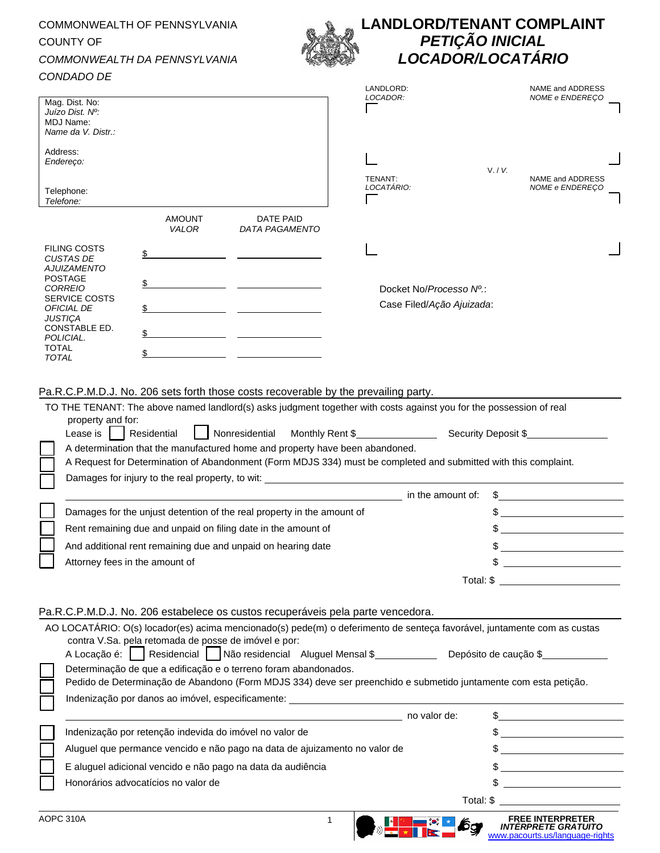## COMMONWEALTH OF PENNSYLVANIA COUNTY OF *COMMONWEALTH DA PENNSYLVANIA CONDADO DE*  Mag. Dist. No: *Juízo Dist. Nº:* MDJ Name: *Name da V. Distr.:* Address: *Endereço:* Telephone: *Telefone:* AMOUNT *VALOR* DATE PAID *DATA PAGAMENTO* FILING COSTS *CUSTAS DE AJUIZAMENTO* \$ POSTAGE *CORREIO* \$ SERVICE COSTS *OFICIAL DE JUSTIÇA* \$ CONSTABLE ED. *POLICIAL.* \$ TOTAL *TOTAL* \$ **LANDLORD/TENANT COMPLAINT** *PETIÇÃO INICIAL LOCADOR/LOCATÁRIO* LANDLORD: NAME and ADDRESS *LOCADOR: NOME e ENDEREÇO* V. / *V.* TENANT: NAME and ADDRESS *LOCATÁRIO: NOME e ENDEREÇO* Docket No/*Processo Nº.*: Case Filed/*Ação Ajuizada*: Pa.R.C.P.M.D.J. No. 206 sets forth those costs recoverable by the prevailing party. TO THE TENANT: The above named landlord(s) asks judgment together with costs against you for the possession of real property and for: Lease is  $\begin{array}{|c|c|c|c|c|}\n\hline\n\text{Residential} & \text{Nonresidential} & \text{Monthly Rent $} & \text{Security Deposit $}\n\end{array}$ A determination that the manufactured home and property have been abandoned. A Request for Determination of Abandonment (Form MDJS 334) must be completed and submitted with this complaint. Damages for injury to the real property, to wit: in the amount of: \$ Damages for the unjust detention of the real property in the amount of  $\sim$ Rent remaining due and unpaid on filing date in the amount of  $\$ And additional rent remaining due and unpaid on hearing date  $\$\$ Attorney fees in the amount of  $\sim$ Total: \$ Pa.R.C.P.M.D.J. No. 206 estabelece os custos recuperáveis pela parte vencedora. AO LOCATÁRIO: O(s) locador(es) acima mencionado(s) pede(m) o deferimento de senteça favorável, juntamente com as custas contra V.Sa. pela retomada de posse de imóvel e por: A Locação é: Residencial | Não residencial Aluguel Mensal \$ Depósito de caução \$ Determinação de que a edificação e o terreno foram abandonados. Pedido de Determinação de Abandono (Form MDJS 334) deve ser preenchido e submetido juntamente com esta petição. Indenização por danos ao imóvel, especificamente: no valor de: \$ Indenização por retenção indevida do imóvel no valor de  $\sim$ Aluguel que permance vencido e não pago na data de ajuizamento no valor de  $\sim$ E aluguel adicional vencido e não pago na data da audiência \$ Honorários advocatícios no valor de \$ Total: \$

*INTÉRPRETE GRATUITO* [www.pacourts.us/language-rights](http://www.pacourts.us/language-rights)